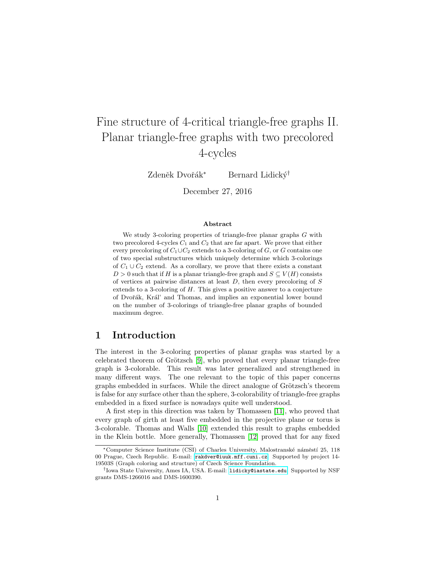# Fine structure of 4-critical triangle-free graphs II. Planar triangle-free graphs with two precolored 4-cycles

Zdeněk Dvořák<sup>∗</sup> Bernard Lidický<sup>†</sup>

December 27, 2016

#### Abstract

We study 3-coloring properties of triangle-free planar graphs  $G$  with two precolored 4-cycles  $C_1$  and  $C_2$  that are far apart. We prove that either every precoloring of  $C_1 \cup C_2$  extends to a 3-coloring of G, or G contains one of two special substructures which uniquely determine which 3-colorings of  $C_1 \cup C_2$  extend. As a corollary, we prove that there exists a constant  $D > 0$  such that if H is a planar triangle-free graph and  $S \subseteq V(H)$  consists of vertices at pairwise distances at least  $D$ , then every precoloring of  $S$ extends to a 3-coloring of H. This gives a positive answer to a conjecture of Dvořák, Král' and Thomas, and implies an exponential lower bound on the number of 3-colorings of triangle-free planar graphs of bounded maximum degree.

# 1 Introduction

The interest in the 3-coloring properties of planar graphs was started by a celebrated theorem of Grötzsch  $[9]$ , who proved that every planar triangle-free graph is 3-colorable. This result was later generalized and strengthened in many different ways. The one relevant to the topic of this paper concerns graphs embedded in surfaces. While the direct analogue of Grötzsch's theorem is false for any surface other than the sphere, 3-colorability of triangle-free graphs embedded in a fixed surface is nowadays quite well understood.

A first step in this direction was taken by Thomassen [\[11\]](#page-11-1), who proved that every graph of girth at least five embedded in the projective plane or torus is 3-colorable. Thomas and Walls [\[10\]](#page-11-2) extended this result to graphs embedded in the Klein bottle. More generally, Thomassen [\[12\]](#page-11-3) proved that for any fixed

<sup>\*</sup>Computer Science Institute (CSI) of Charles University, Malostranské náměstí 25, 118 00 Prague, Czech Republic. E-mail: [rakdver@iuuk.mff.cuni.cz](mailto:rakdver@iuuk.mff.cuni.cz). Supported by project 14- 19503S (Graph coloring and structure) of Czech Science Foundation.

<sup>†</sup> Iowa State University, Ames IA, USA. E-mail: [lidicky@iastate.edu](mailto:lidicky@iasate.edu). Supported by NSF grants DMS-1266016 and DMS-1600390.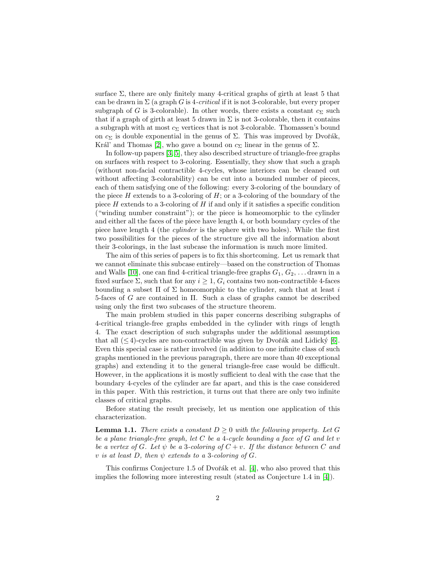surface  $\Sigma$ , there are only finitely many 4-critical graphs of girth at least 5 that can be drawn in  $\Sigma$  (a graph G is 4-*critical* if it is not 3-colorable, but every proper subgraph of G is 3-colorable). In other words, there exists a constant  $c_{\Sigma}$  such that if a graph of girth at least 5 drawn in  $\Sigma$  is not 3-colorable, then it contains a subgraph with at most  $c_{\Sigma}$  vertices that is not 3-colorable. Thomassen's bound on  $c_{\Sigma}$  is double exponential in the genus of  $\Sigma$ . This was improved by Dvořák, Král' and Thomas [\[2\]](#page-10-0), who gave a bound on  $c_{\Sigma}$  linear in the genus of  $\Sigma$ .

In follow-up papers [\[3,](#page-11-4) [5\]](#page-11-5), they also described structure of triangle-free graphs on surfaces with respect to 3-coloring. Essentially, they show that such a graph (without non-facial contractible 4-cycles, whose interiors can be cleaned out without affecting 3-colorability) can be cut into a bounded number of pieces, each of them satisfying one of the following: every 3-coloring of the boundary of the piece  $H$  extends to a 3-coloring of  $H$ ; or a 3-coloring of the boundary of the piece  $H$  extends to a 3-coloring of  $H$  if and only if it satisfies a specific condition ("winding number constraint"); or the piece is homeomorphic to the cylinder and either all the faces of the piece have length 4, or both boundary cycles of the piece have length 4 (the cylinder is the sphere with two holes). While the first two possibilities for the pieces of the structure give all the information about their 3-colorings, in the last subcase the information is much more limited.

The aim of this series of papers is to fix this shortcoming. Let us remark that we cannot eliminate this subcase entirely—based on the construction of Thomas and Walls [\[10\]](#page-11-2), one can find 4-critical triangle-free graphs  $G_1, G_2, \ldots$  drawn in a fixed surface  $\Sigma$ , such that for any  $i \geq 1$ ,  $G_i$  contains two non-contractible 4-faces bounding a subset  $\Pi$  of  $\Sigma$  homeomorphic to the cylinder, such that at least i 5-faces of G are contained in Π. Such a class of graphs cannot be described using only the first two subcases of the structure theorem.

The main problem studied in this paper concerns describing subgraphs of 4-critical triangle-free graphs embedded in the cylinder with rings of length 4. The exact description of such subgraphs under the additional assumption that all  $(\leq 4)$ -cycles are non-contractible was given by Dvořák and Lidický [\[6\]](#page-11-6). Even this special case is rather involved (in addition to one infinite class of such graphs mentioned in the previous paragraph, there are more than 40 exceptional graphs) and extending it to the general triangle-free case would be difficult. However, in the applications it is mostly sufficient to deal with the case that the boundary 4-cycles of the cylinder are far apart, and this is the case considered in this paper. With this restriction, it turns out that there are only two infinite classes of critical graphs.

Before stating the result precisely, let us mention one application of this characterization.

<span id="page-1-0"></span>**Lemma 1.1.** There exists a constant  $D \geq 0$  with the following property. Let G be a plane triangle-free graph, let  $C$  be a 4-cycle bounding a face of  $G$  and let  $v$ be a vertex of G. Let  $\psi$  be a 3-coloring of  $C + v$ . If the distance between C and v is at least D, then  $\psi$  extends to a 3-coloring of G.

This confirms Conjecture 1.5 of Dvořák et al.  $[4]$ , who also proved that this implies the following more interesting result (stated as Conjecture 1.4 in [\[4\]](#page-11-7)).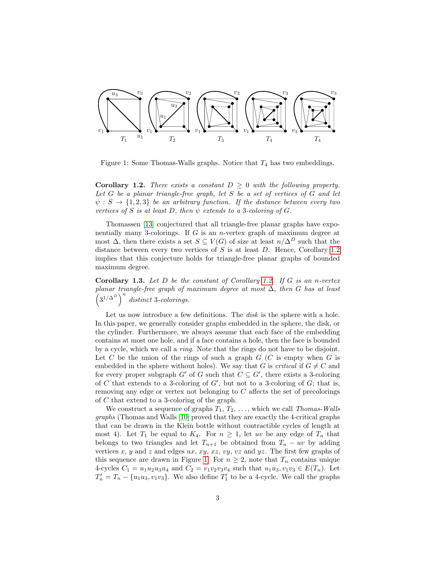

<span id="page-2-1"></span>Figure 1: Some Thomas-Walls graphs. Notice that  $T_4$  has two embeddings.

<span id="page-2-0"></span>**Corollary 1.2.** There exists a constant  $D \geq 0$  with the following property. Let G be a planar triangle-free graph, let S be a set of vertices of G and let  $\psi : S \to \{1,2,3\}$  be an arbitrary function. If the distance between every two vertices of S is at least D, then  $\psi$  extends to a 3-coloring of G.

Thomassen [\[13\]](#page-11-8) conjectured that all triangle-free planar graphs have exponentially many 3-colorings. If G is an *n*-vertex graph of maximum degree at most  $\Delta$ , then there exists a set  $S \subseteq V(G)$  of size at least  $n/\Delta^D$  such that the distance between every two vertices of  $S$  is at least  $D$ . Hence, Corollary [1.2](#page-2-0) implies that this conjecture holds for triangle-free planar graphs of bounded maximum degree.

**Corollary 1.3.** Let  $D$  be the constant of Corollary [1.2.](#page-2-0) If  $G$  is an n-vertex planar triangle-free graph of maximum degree at most  $\Delta$ , then G has at least  $\left(3^{1/\Delta^D}\right)^n$  distinct 3-colorings.

Let us now introduce a few definitions. The *disk* is the sphere with a hole. In this paper, we generally consider graphs embedded in the sphere, the disk, or the cylinder. Furthermore, we always assume that each face of the embedding contains at most one hole, and if a face contains a hole, then the face is bounded by a cycle, which we call a ring. Note that the rings do not have to be disjoint. Let C be the union of the rings of such a graph  $G$  (C is empty when G is embedded in the sphere without holes). We say that G is critical if  $G \neq C$  and for every proper subgraph  $G'$  of G such that  $C \subseteq G'$ , there exists a 3-coloring of  $C$  that extends to a 3-coloring of  $G'$ , but not to a 3-coloring of  $G$ ; that is, removing any edge or vertex not belonging to C affects the set of precolorings of C that extend to a 3-coloring of the graph.

We construct a sequence of graphs  $T_1, T_2, \ldots$ , which we call Thomas-Walls graphs (Thomas and Walls [\[10\]](#page-11-2) proved that they are exactly the 4-critical graphs that can be drawn in the Klein bottle without contractible cycles of length at most 4). Let  $T_1$  be equal to  $K_4$ . For  $n \geq 1$ , let uv be any edge of  $T_n$  that belongs to two triangles and let  $T_{n+1}$  be obtained from  $T_n - uv$  by adding vertices x, y and z and edges  $ux, xy, xz, vy, vz$  and  $yz$ . The first few graphs of this sequence are drawn in Figure [1.](#page-2-1) For  $n \geq 2$ , note that  $T_n$  contains unique 4-cycles  $C_1 = u_1 u_2 u_3 u_4$  and  $C_2 = v_1 v_2 v_3 v_4$  such that  $u_1 u_3, v_1 v_3 \in E(T_n)$ . Let  $T'_n = T_n - \{u_1u_3, v_1v_3\}$ . We also define  $T'_1$  to be a 4-cycle. We call the graphs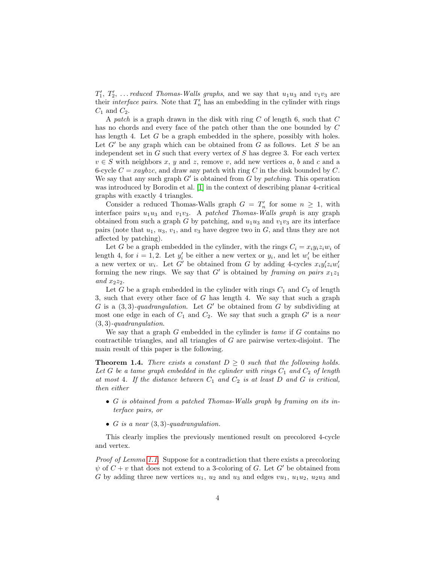$T_1', T_2', \ldots$  reduced Thomas-Walls graphs, and we say that  $u_1u_3$  and  $v_1v_3$  are their *interface pairs*. Note that  $T'_n$  has an embedding in the cylinder with rings  $C_1$  and  $C_2$ .

A patch is a graph drawn in the disk with ring  $C$  of length 6, such that  $C$ has no chords and every face of the patch other than the one bounded by C has length 4. Let G be a graph embedded in the sphere, possibly with holes. Let  $G'$  be any graph which can be obtained from  $G$  as follows. Let  $S$  be an independent set in  $G$  such that every vertex of  $S$  has degree 3. For each vertex  $v \in S$  with neighbors x, y and z, remove v, add new vertices a, b and c and a 6-cycle  $C = xaybzc$ , and draw any patch with ring C in the disk bounded by C. We say that any such graph  $G'$  is obtained from  $G$  by patching. This operation was introduced by Borodin et al. [\[1\]](#page-10-1) in the context of describing planar 4-critical graphs with exactly 4 triangles.

Consider a reduced Thomas-Walls graph  $G = T'_n$  for some  $n \geq 1$ , with interface pairs  $u_1u_3$  and  $v_1v_3$ . A patched Thomas-Walls graph is any graph obtained from such a graph G by patching, and  $u_1u_3$  and  $v_1v_3$  are its interface pairs (note that  $u_1, u_3, v_1$ , and  $v_3$  have degree two in  $G$ , and thus they are not affected by patching).

Let G be a graph embedded in the cylinder, with the rings  $C_i = x_i y_i z_i w_i$  of length 4, for  $i = 1, 2$ . Let  $y_i'$  be either a new vertex or  $y_i$ , and let  $w_i'$  be either a new vertex or  $w_i$ . Let G' be obtained from G by adding 4-cycles  $x_i y_i' z_i w_i'$ forming the new rings. We say that  $G'$  is obtained by framing on pairs  $x_1z_1$ and  $x_2z_2$ .

Let G be a graph embedded in the cylinder with rings  $C_1$  and  $C_2$  of length 3, such that every other face of  $G$  has length 4. We say that such a graph G is a  $(3,3)$ -quadrangulation. Let G' be obtained from G by subdividing at most one edge in each of  $C_1$  and  $C_2$ . We say that such a graph  $G'$  is a near  $(3, 3)$ -quadrangulation.

We say that a graph  $G$  embedded in the cylinder is *tame* if  $G$  contains no contractible triangles, and all triangles of G are pairwise vertex-disjoint. The main result of this paper is the following.

<span id="page-3-0"></span>**Theorem 1.4.** There exists a constant  $D \geq 0$  such that the following holds. Let G be a tame graph embedded in the cylinder with rings  $C_1$  and  $C_2$  of length at most 4. If the distance between  $C_1$  and  $C_2$  is at least D and G is critical, then either

- G is obtained from a patched Thomas-Walls graph by framing on its interface pairs, or
- G is a near  $(3,3)$ -quadrangulation.

This clearly implies the previously mentioned result on precolored 4-cycle and vertex.

Proof of Lemma [1.1.](#page-1-0) Suppose for a contradiction that there exists a precoloring  $\psi$  of  $C + v$  that does not extend to a 3-coloring of G. Let G' be obtained from G by adding three new vertices  $u_1$ ,  $u_2$  and  $u_3$  and edges  $vu_1$ ,  $u_1u_2$ ,  $u_2u_3$  and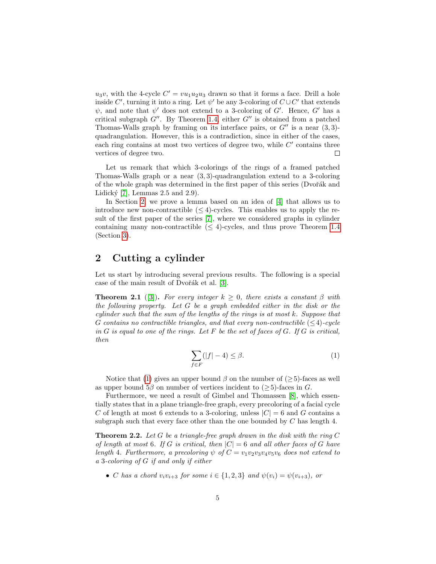$u_3v$ , with the 4-cycle  $C' = vu_1u_2u_3$  drawn so that it forms a face. Drill a hole inside  $C'$ , turning it into a ring. Let  $\psi'$  be any 3-coloring of  $C\cup C'$  that extends  $\psi$ , and note that  $\psi'$  does not extend to a 3-coloring of G'. Hence, G' has a critical subgraph  $G''$ . By Theorem [1.4,](#page-3-0) either  $G''$  is obtained from a patched Thomas-Walls graph by framing on its interface pairs, or  $G''$  is a near  $(3, 3)$ quadrangulation. However, this is a contradiction, since in either of the cases, each ring contains at most two vertices of degree two, while  $C'$  contains three vertices of degree two.  $\Box$ 

Let us remark that which 3-colorings of the rings of a framed patched Thomas-Walls graph or a near  $(3, 3)$ -quadrangulation extend to a 3-coloring of the whole graph was determined in the first paper of this series (Dvořák and Lidický  $[7]$ , Lemmas 2.5 and 2.9).

In Section [2,](#page-4-0) we prove a lemma based on an idea of [\[4\]](#page-11-7) that allows us to introduce new non-contractible  $(\leq 4)$ -cycles. This enables us to apply the result of the first paper of the series [\[7\]](#page-11-9), where we considered graphs in cylinder containing many non-contractible  $(\leq 4)$ -cycles, and thus prove Theorem [1.4](#page-3-0) (Section [3\)](#page-10-2).

# <span id="page-4-0"></span>2 Cutting a cylinder

Let us start by introducing several previous results. The following is a special case of the main result of Dvořák et al. [\[3\]](#page-11-4).

<span id="page-4-3"></span>**Theorem 2.1** ([\[3\]](#page-11-4)). For every integer  $k \geq 0$ , there exists a constant  $\beta$  with the following property. Let G be a graph embedded either in the disk or the cylinder such that the sum of the lengths of the rings is at most k. Suppose that G contains no contractible triangles, and that every non-contractible  $(\leq 4)$ -cycle in  $G$  is equal to one of the rings. Let  $F$  be the set of faces of  $G$ . If  $G$  is critical, then

<span id="page-4-1"></span>
$$
\sum_{f \in F} (|f| - 4) \le \beta. \tag{1}
$$

Notice that [\(1\)](#page-4-1) gives an upper bound  $\beta$  on the number of ( $\geq$ 5)-faces as well as upper bound  $5\beta$  on number of vertices incident to ( $>$ 5)-faces in G.

Furthermore, we need a result of Gimbel and Thomassen [\[8\]](#page-11-10), which essentially states that in a plane triangle-free graph, every precoloring of a facial cycle C of length at most 6 extends to a 3-coloring, unless  $|C| = 6$  and G contains a subgraph such that every face other than the one bounded by  $C$  has length 4.

<span id="page-4-2"></span>**Theorem 2.2.** Let G be a triangle-free graph drawn in the disk with the ring C of length at most 6. If G is critical, then  $|C| = 6$  and all other faces of G have length 4. Furthermore, a precoloring  $\psi$  of  $C = v_1v_2v_3v_4v_5v_6$  does not extend to a 3-coloring of G if and only if either

• C has a chord  $v_i v_{i+3}$  for some  $i \in \{1,2,3\}$  and  $\psi(v_i) = \psi(v_{i+3})$ , or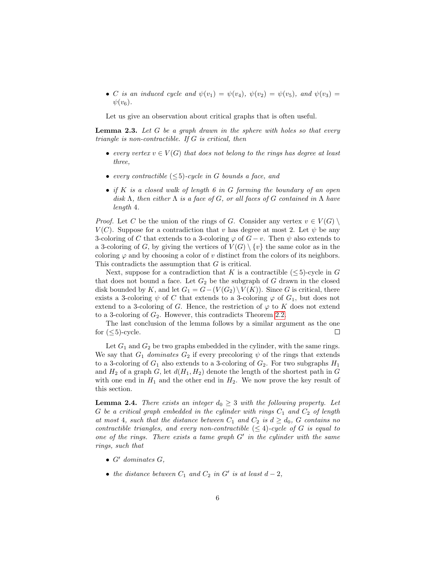• C is an induced cycle and  $\psi(v_1) = \psi(v_4)$ ,  $\psi(v_2) = \psi(v_5)$ , and  $\psi(v_3) =$  $\psi(v_6)$ .

Let us give an observation about critical graphs that is often useful.

<span id="page-5-0"></span>**Lemma 2.3.** Let G be a graph drawn in the sphere with holes so that every triangle is non-contractible. If G is critical, then

- every vertex  $v \in V(G)$  that does not belong to the rings has degree at least three,
- every contractible  $(\leq 5)$ -cycle in G bounds a face, and
- if K is a closed walk of length 6 in G forming the boundary of an open disk  $\Lambda$ , then either  $\Lambda$  is a face of G, or all faces of G contained in  $\Lambda$  have length 4.

*Proof.* Let C be the union of the rings of G. Consider any vertex  $v \in V(G)$  $V(C)$ . Suppose for a contradiction that v has degree at most 2. Let  $\psi$  be any 3-coloring of C that extends to a 3-coloring  $\varphi$  of  $G - v$ . Then  $\psi$  also extends to a 3-coloring of G, by giving the vertices of  $V(G) \setminus \{v\}$  the same color as in the coloring  $\varphi$  and by choosing a color of v distinct from the colors of its neighbors. This contradicts the assumption that  $G$  is critical.

Next, suppose for a contradiction that K is a contractible  $(< 5$ )-cycle in G that does not bound a face. Let  $G_2$  be the subgraph of G drawn in the closed disk bounded by K, and let  $G_1 = G - (V(G_2) \setminus V(K))$ . Since G is critical, there exists a 3-coloring  $\psi$  of C that extends to a 3-coloring  $\varphi$  of  $G_1$ , but does not extend to a 3-coloring of G. Hence, the restriction of  $\varphi$  to K does not extend to a 3-coloring of  $G_2$ . However, this contradicts Theorem [2.2.](#page-4-2)

The last conclusion of the lemma follows by a similar argument as the one for  $(\leq 5)$ -cycle.  $\Box$ 

Let  $G_1$  and  $G_2$  be two graphs embedded in the cylinder, with the same rings. We say that  $G_1$  dominates  $G_2$  if every precoloring  $\psi$  of the rings that extends to a 3-coloring of  $G_1$  also extends to a 3-coloring of  $G_2$ . For two subgraphs  $H_1$ and  $H_2$  of a graph G, let  $d(H_1, H_2)$  denote the length of the shortest path in G with one end in  $H_1$  and the other end in  $H_2$ . We now prove the key result of this section.

<span id="page-5-1"></span>**Lemma 2.4.** There exists an integer  $d_0 \geq 3$  with the following property. Let G be a critical graph embedded in the cylinder with rings  $C_1$  and  $C_2$  of length at most 4, such that the distance between  $C_1$  and  $C_2$  is  $d \geq d_0$ , G contains no contractible triangles, and every non-contractible  $(\leq 4)$ -cycle of G is equal to one of the rings. There exists a tame graph  $G'$  in the cylinder with the same rings, such that

- $\bullet$  G' dominates G,
- the distance between  $C_1$  and  $C_2$  in  $G'$  is at least  $d-2$ ,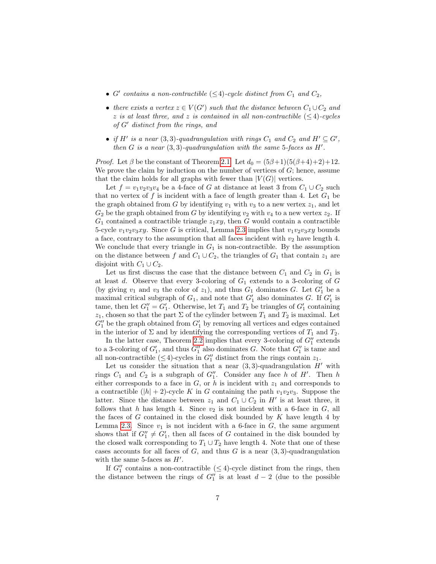- G' contains a non-contractible  $(\leq 4)$ -cycle distinct from  $C_1$  and  $C_2$ ,
- there exists a vertex  $z \in V(G')$  such that the distance between  $C_1 \cup C_2$  and z is at least three, and z is contained in all non-contractible  $(\leq 4)$ -cycles of  $G'$  distinct from the rings, and
- if H' is a near (3,3)-quadrangulation with rings  $C_1$  and  $C_2$  and  $H' \subseteq G'$ , then  $G$  is a near  $(3, 3)$ -quadrangulation with the same 5-faces as  $H'$ .

*Proof.* Let  $\beta$  be the constant of Theorem [2.1.](#page-4-3) Let  $d_0 = (5\beta+1)(5(\beta+4)+2)+12$ . We prove the claim by induction on the number of vertices of  $G$ ; hence, assume that the claim holds for all graphs with fewer than  $|V(G)|$  vertices.

Let  $f = v_1v_2v_3v_4$  be a 4-face of G at distance at least 3 from  $C_1 \cup C_2$  such that no vertex of f is incident with a face of length greater than 4. Let  $G_1$  be the graph obtained from G by identifying  $v_1$  with  $v_3$  to a new vertex  $z_1$ , and let  $G_2$  be the graph obtained from G by identifying  $v_2$  with  $v_4$  to a new vertex  $z_2$ . If  $G_1$  contained a contractible triangle  $z_1xy$ , then G would contain a contractible 5-cycle  $v_1v_2v_3xy$ . Since G is critical, Lemma [2.3](#page-5-0) implies that  $v_1v_2v_3xy$  bounds a face, contrary to the assumption that all faces incident with  $v_2$  have length 4. We conclude that every triangle in  $G_1$  is non-contractible. By the assumption on the distance between f and  $C_1 \cup C_2$ , the triangles of  $G_1$  that contain  $z_1$  are disjoint with  $C_1 \cup C_2$ .

Let us first discuss the case that the distance between  $C_1$  and  $C_2$  in  $G_1$  is at least  $d$ . Observe that every 3-coloring of  $G_1$  extends to a 3-coloring of  $G$ (by giving  $v_1$  and  $v_3$  the color of  $z_1$ ), and thus  $G_1$  dominates  $G$ . Let  $G'_1$  be a maximal critical subgraph of  $G_1$ , and note that  $G'_1$  also dominates G. If  $G'_1$  is tame, then let  $G_1'' = G_1'$ . Otherwise, let  $T_1$  and  $T_2$  be triangles of  $G_1'$  containing  $z_1$ , chosen so that the part  $\Sigma$  of the cylinder between  $T_1$  and  $T_2$  is maximal. Let  $G_1''$  be the graph obtained from  $G_1'$  by removing all vertices and edges contained in the interior of  $\Sigma$  and by identifying the corresponding vertices of  $T_1$  and  $T_2$ .

In the latter case, Theorem [2.2](#page-4-2) implies that every 3-coloring of  $G_1''$  extends to a 3-coloring of  $G_1'$ , and thus  $G_1''$  also dominates G. Note that  $G_1''$  is tame and all non-contractible ( $\leq$ 4)-cycles in  $G''_1$  distinct from the rings contain  $z_1$ .

Let us consider the situation that a near  $(3, 3)$ -quadrangulation H' with rings  $C_1$  and  $C_2$  is a subgraph of  $G''_1$ . Consider any face h of H'. Then h either corresponds to a face in  $G$ , or  $h$  is incident with  $z_1$  and corresponds to a contractible  $(|h| + 2)$ -cycle K in G containing the path  $v_1v_2v_3$ . Suppose the latter. Since the distance between  $z_1$  and  $C_1 \cup C_2$  in  $H'$  is at least three, it follows that h has length 4. Since  $v_2$  is not incident with a 6-face in  $G$ , all the faces of G contained in the closed disk bounded by K have length 4 by Lemma [2.3.](#page-5-0) Since  $v_1$  is not incident with a 6-face in  $G$ , the same argument shows that if  $G_1'' \neq G_1'$ , then all faces of G contained in the disk bounded by the closed walk corresponding to  $T_1 \cup T_2$  have length 4. Note that one of these cases accounts for all faces of  $G$ , and thus  $G$  is a near  $(3, 3)$ -quadrangulation with the same 5-faces as  $H'$ .

If  $G_1''$  contains a non-contractible  $(\leq 4)$ -cycle distinct from the rings, then the distance between the rings of  $G_1''$  is at least  $d-2$  (due to the possible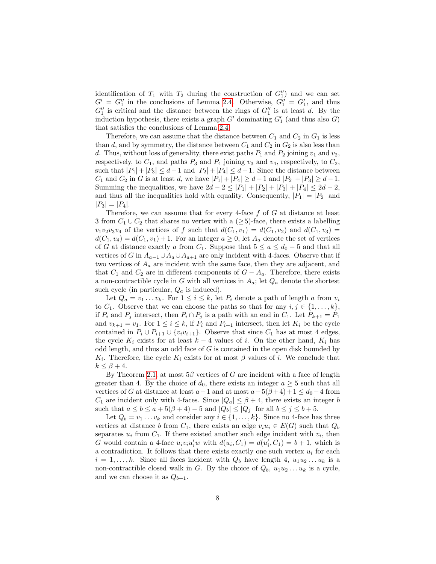identification of  $T_1$  with  $T_2$  during the construction of  $G_1''$  and we can set  $G' = G''_1$  in the conclusions of Lemma [2.4.](#page-5-1) Otherwise,  $G''_1 = G'_1$ , and thus  $G_1''$  is critical and the distance between the rings of  $G_1''$  is at least d. By the induction hypothesis, there exists a graph  $G'$  dominating  $G'_{1}$  (and thus also  $G$ ) that satisfies the conclusions of Lemma [2.4.](#page-5-1)

Therefore, we can assume that the distance between  $C_1$  and  $C_2$  in  $G_1$  is less than d, and by symmetry, the distance between  $C_1$  and  $C_2$  in  $G_2$  is also less than d. Thus, without loss of generality, there exist paths  $P_1$  and  $P_2$  joining  $v_1$  and  $v_2$ , respectively, to  $C_1$ , and paths  $P_3$  and  $P_4$  joining  $v_3$  and  $v_4$ , respectively, to  $C_2$ , such that  $|P_1|+|P_3| \leq d-1$  and  $|P_2|+|P_4| \leq d-1$ . Since the distance between  $C_1$  and  $C_2$  in G is at least d, we have  $|P_1| + |P_4| \ge d - 1$  and  $|P_2| + |P_3| \ge d - 1$ . Summing the inequalities, we have  $2d - 2 \leq |P_1| + |P_2| + |P_3| + |P_4| \leq 2d - 2$ , and thus all the inequalities hold with equality. Consequently,  $|P_1| = |P_2|$  and  $|P_3| = |P_4|$ .

Therefore, we can assume that for every 4-face  $f$  of  $G$  at distance at least 3 from  $C_1 \cup C_2$  that shares no vertex with a ( $\geq 5$ )-face, there exists a labelling  $v_1v_2v_3v_4$  of the vertices of f such that  $d(C_1, v_1) = d(C_1, v_2)$  and  $d(C_1, v_3) =$  $d(C_1, v_4) = d(C_1, v_1) + 1$ . For an integer  $a \geq 0$ , let  $A_a$  denote the set of vertices of G at distance exactly a from  $C_1$ . Suppose that  $5 \le a \le d_0 - 5$  and that all vertices of G in  $A_{a-1} \cup A_a \cup A_{a+1}$  are only incident with 4-faces. Observe that if two vertices of  $A_a$  are incident with the same face, then they are adjacent, and that  $C_1$  and  $C_2$  are in different components of  $G - A_a$ . Therefore, there exists a non-contractible cycle in G with all vertices in  $A_a$ ; let  $Q_a$  denote the shortest such cycle (in particular,  $Q_a$  is induced).

Let  $Q_a = v_1 \dots v_k$ . For  $1 \leq i \leq k$ , let  $P_i$  denote a path of length a from  $v_i$ to  $C_1$ . Observe that we can choose the paths so that for any  $i, j \in \{1, ..., k\},$ if  $P_i$  and  $P_j$  intersect, then  $P_i \cap P_j$  is a path with an end in  $C_1$ . Let  $P_{k+1} = P_1$ and  $v_{k+1} = v_1$ . For  $1 \leq i \leq k$ , if  $P_i$  and  $P_{i+1}$  intersect, then let  $K_i$  be the cycle contained in  $P_i \cup P_{i+1} \cup \{v_i v_{i+1}\}.$  Observe that since  $C_1$  has at most 4 edges, the cycle  $K_i$  exists for at least  $k-4$  values of i. On the other hand,  $K_i$  has odd length, and thus an odd face of  $G$  is contained in the open disk bounded by  $K_i$ . Therefore, the cycle  $K_i$  exists for at most  $\beta$  values of i. We conclude that  $k \leq \beta + 4$ .

By Theorem [2.1,](#page-4-3) at most  $5\beta$  vertices of G are incident with a face of length greater than 4. By the choice of  $d_0$ , there exists an integer  $a \geq 5$  such that all vertices of G at distance at least  $a-1$  and at most  $a+5(\beta+4)+1\leq d_0-4$  from  $C_1$  are incident only with 4-faces. Since  $|Q_a| \leq \beta + 4$ , there exists an integer b such that  $a \leq b \leq a + 5(\beta + 4) - 5$  and  $|Q_b| \leq |Q_i|$  for all  $b \leq j \leq b + 5$ .

Let  $Q_b = v_1 \ldots v_k$  and consider any  $i \in \{1, \ldots, k\}$ . Since no 4-face has three vertices at distance b from  $C_1$ , there exists an edge  $v_iu_i \in E(G)$  such that  $Q_b$ separates  $u_i$  from  $C_1$ . If there existed another such edge incident with  $v_i$ , then G would contain a 4-face  $u_i v_i u'_i w$  with  $d(u_i, C_1) = d(u'_i, C_1) = b + 1$ , which is a contradiction. It follows that there exists exactly one such vertex  $u_i$  for each  $i = 1, \ldots, k$ . Since all faces incident with  $Q_b$  have length 4,  $u_1u_2 \ldots u_k$  is a non-contractible closed walk in G. By the choice of  $Q_b$ ,  $u_1u_2 \ldots u_k$  is a cycle, and we can choose it as  $Q_{b+1}$ .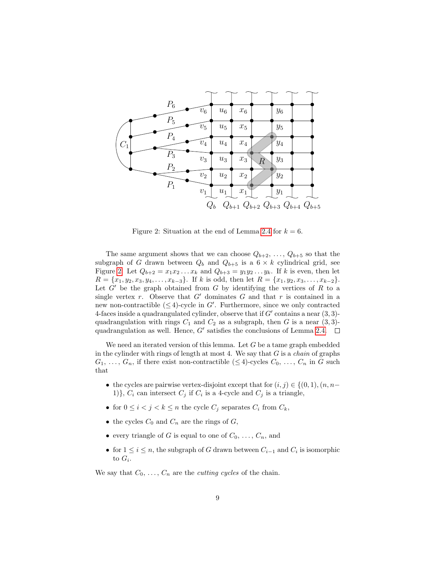

<span id="page-8-0"></span>Figure 2: Situation at the end of Lemma [2.4](#page-5-1) for  $k = 6$ .

The same argument shows that we can choose  $Q_{b+2}, \ldots, Q_{b+5}$  so that the subgraph of G drawn between  $Q_b$  and  $Q_{b+5}$  is a  $6 \times k$  cylindrical grid, see Figure [2.](#page-8-0) Let  $Q_{b+2} = x_1 x_2 ... x_k$  and  $Q_{b+3} = y_1 y_2 ... y_k$ . If k is even, then let  $R = \{x_1, y_2, x_3, y_4, \ldots, x_{k-3}\}.$  If k is odd, then let  $R = \{x_1, y_2, x_3, \ldots, x_{k-2}\}.$ Let  $G'$  be the graph obtained from  $G$  by identifying the vertices of  $R$  to a single vertex r. Observe that  $G'$  dominates G and that r is contained in a new non-contractible  $(\leq 4)$ -cycle in G'. Furthermore, since we only contracted 4-faces inside a quadrangulated cylinder, observe that if  $G'$  contains a near  $(3, 3)$ quadrangulation with rings  $C_1$  and  $C_2$  as a subgraph, then G is a near  $(3, 3)$ quadrangulation as well. Hence,  $G'$  satisfies the conclusions of Lemma [2.4.](#page-5-1)

We need an iterated version of this lemma. Let  $G$  be a tame graph embedded in the cylinder with rings of length at most 4. We say that  $G$  is a *chain* of graphs  $G_1, \ldots, G_n$ , if there exist non-contractible  $(\leq 4)$ -cycles  $C_0, \ldots, C_n$  in G such that

- the cycles are pairwise vertex-disjoint except that for  $(i, j) \in \{(0, 1), (n, n-1)\}$ 1)},  $C_i$  can intersect  $C_j$  if  $C_i$  is a 4-cycle and  $C_j$  is a triangle,
- for  $0 \leq i < j < k \leq n$  the cycle  $C_j$  separates  $C_i$  from  $C_k$ ,
- the cycles  $C_0$  and  $C_n$  are the rings of  $G$ ,
- every triangle of G is equal to one of  $C_0, \ldots, C_n$ , and
- for  $1 \leq i \leq n$ , the subgraph of G drawn between  $C_{i-1}$  and  $C_i$  is isomorphic to  $G_i$ .

We say that  $C_0, \ldots, C_n$  are the *cutting cycles* of the chain.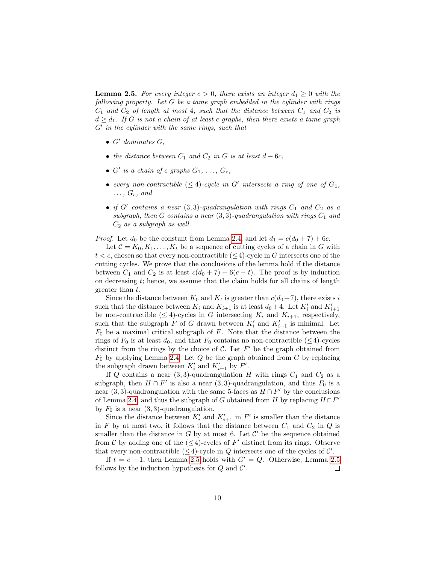<span id="page-9-0"></span>**Lemma 2.5.** For every integer  $c > 0$ , there exists an integer  $d_1 \geq 0$  with the following property. Let G be a tame graph embedded in the cylinder with rings  $C_1$  and  $C_2$  of length at most 4, such that the distance between  $C_1$  and  $C_2$  is  $d \geq d_1$ . If G is not a chain of at least c graphs, then there exists a tame graph  $G'$  in the cylinder with the same rings, such that

- $\bullet$  G' dominates G,
- the distance between  $C_1$  and  $C_2$  in G is at least  $d 6c$ ,
- $G'$  is a chain of c graphs  $G_1, \ldots, G_c$ ,
- every non-contractible  $(\leq 4)$ -cycle in G' intersects a ring of one of  $G_1$ ,  $\ldots, G_c, \text{ and}$
- if  $G'$  contains a near  $(3, 3)$ -quadrangulation with rings  $C_1$  and  $C_2$  as a subgraph, then G contains a near  $(3, 3)$ -quadrangulation with rings  $C_1$  and  $C_2$  as a subgraph as well.

*Proof.* Let  $d_0$  be the constant from Lemma [2.4,](#page-5-1) and let  $d_1 = c(d_0 + 7) + 6c$ .

Let  $C = K_0, K_1, \ldots, K_t$  be a sequence of cutting cycles of a chain in G with  $t < c$ , chosen so that every non-contractible  $(\leq 4)$ -cycle in G intersects one of the cutting cycles. We prove that the conclusions of the lemma hold if the distance between  $C_1$  and  $C_2$  is at least  $c(d_0 + 7) + 6(c - t)$ . The proof is by induction on decreasing t; hence, we assume that the claim holds for all chains of length greater than t.

Since the distance between  $K_0$  and  $K_t$  is greater than  $c(d_0+7)$ , there exists i such that the distance between  $K_i$  and  $K_{i+1}$  is at least  $d_0 + 4$ . Let  $K_i'$  and  $K_{i+1}'$ be non-contractible ( $\leq 4$ )-cycles in G intersecting  $K_i$  and  $K_{i+1}$ , respectively, such that the subgraph  $F$  of  $G$  drawn between  $K_i'$  and  $K_{i+1}'$  is minimal. Let  $F_0$  be a maximal critical subgraph of  $F$ . Note that the distance between the rings of  $F_0$  is at least  $d_0$ , and that  $F_0$  contains no non-contractible ( $\leq 4$ )-cycles distinct from the rings by the choice of  $C$ . Let  $F'$  be the graph obtained from  $F_0$  by applying Lemma [2.4.](#page-5-1) Let  $Q$  be the graph obtained from  $G$  by replacing the subgraph drawn between  $K_i'$  and  $K_{i+1}'$  by  $F'$ .

If Q contains a near  $(3,3)$ -quadrangulation H with rings  $C_1$  and  $C_2$  as a subgraph, then  $H \cap F'$  is also a near  $(3,3)$ -quadrangulation, and thus  $F_0$  is a near (3, 3)-quadrangulation with the same 5-faces as  $H \cap F'$  by the conclusions of Lemma [2.4;](#page-5-1) and thus the subgraph of G obtained from H by replacing  $H \cap F'$ by  $F_0$  is a near  $(3, 3)$ -quadrangulation.

Since the distance between  $K'_{i}$  and  $K'_{i+1}$  in  $F'$  is smaller than the distance in F by at most two, it follows that the distance between  $C_1$  and  $C_2$  in Q is smaller than the distance in  $G$  by at most 6. Let  $\mathcal{C}'$  be the sequence obtained from C by adding one of the  $(\leq 4)$ -cycles of F' distinct from its rings. Observe that every non-contractible  $(\leq 4)$ -cycle in Q intersects one of the cycles of C'.

If  $t = c - 1$ , then Lemma [2.5](#page-9-0) holds with  $G' = Q$ . Otherwise, Lemma 2.5 follows by the induction hypothesis for  $Q$  and  $C'$ .  $\Box$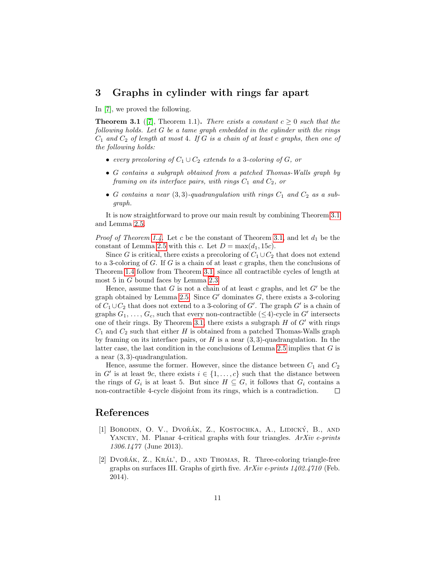## <span id="page-10-2"></span>3 Graphs in cylinder with rings far apart

In [\[7\]](#page-11-9), we proved the following.

<span id="page-10-3"></span>**Theorem 3.1** ([\[7\]](#page-11-9), Theorem 1.1). There exists a constant  $c \geq 0$  such that the following holds. Let G be a tame graph embedded in the cylinder with the rings  $C_1$  and  $C_2$  of length at most 4. If G is a chain of at least c graphs, then one of the following holds:

- every precoloring of  $C_1 \cup C_2$  extends to a 3-coloring of G, or
- G contains a subgraph obtained from a patched Thomas-Walls graph by framing on its interface pairs, with rings  $C_1$  and  $C_2$ , or
- G contains a near  $(3,3)$ -quadrangulation with rings  $C_1$  and  $C_2$  as a subgraph.

It is now straightforward to prove our main result by combining Theorem [3.1](#page-10-3) and Lemma [2.5.](#page-9-0)

*Proof of Theorem [1.4.](#page-3-0)* Let c be the constant of Theorem [3.1,](#page-10-3) and let  $d_1$  be the constant of Lemma [2.5](#page-9-0) with this c. Let  $D = \max(d_1, 15c)$ .

Since G is critical, there exists a precoloring of  $C_1 \cup C_2$  that does not extend to a 3-coloring of  $G$ . If  $G$  is a chain of at least  $c$  graphs, then the conclusions of Theorem [1.4](#page-3-0) follow from Theorem [3.1,](#page-10-3) since all contractible cycles of length at most 5 in G bound faces by Lemma [2.3.](#page-5-0)

Hence, assume that G is not a chain of at least c graphs, and let  $G'$  be the graph obtained by Lemma [2.5.](#page-9-0) Since  $G'$  dominates  $G$ , there exists a 3-coloring of  $C_1 \cup C_2$  that does not extend to a 3-coloring of G'. The graph G' is a chain of graphs  $G_1, \ldots, G_c$ , such that every non-contractible  $(\leq 4)$ -cycle in G' intersects one of their rings. By Theorem [3.1,](#page-10-3) there exists a subgraph  $H$  of  $G'$  with rings  $C_1$  and  $C_2$  such that either H is obtained from a patched Thomas-Walls graph by framing on its interface pairs, or  $H$  is a near  $(3, 3)$ -quadrangulation. In the latter case, the last condition in the conclusions of Lemma  $2.5$  implies that  $G$  is a near (3, 3)-quadrangulation.

Hence, assume the former. However, since the distance between  $C_1$  and  $C_2$ in G' is at least 9c, there exists  $i \in \{1, \ldots, c\}$  such that the distance between the rings of  $G_i$  is at least 5. But since  $H \subseteq G$ , it follows that  $G_i$  contains a non-contractible 4-cycle disjoint from its rings, which is a contradiction.  $\Box$ 

### References

- <span id="page-10-1"></span>[1] BORODIN, O. V., DVOŘÁK, Z., KOSTOCHKA, A., LIDICKÝ, B., AND YANCEY, M. Planar 4-critical graphs with four triangles. ArXiv e-prints 1306.1477 (June 2013).
- <span id="page-10-0"></span>[2] DVO $\check{R}$ AK, Z., KRÁL', D., AND THOMAS, R. Three-coloring triangle-free graphs on surfaces III. Graphs of girth five. ArXiv e-prints 1402.4710 (Feb. 2014).